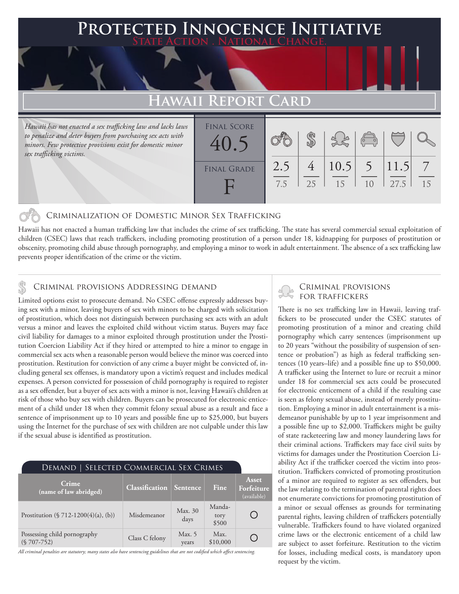## **Protected Innocence Initiative State Action . National Change.**

# **Hawaii Report Card**

*Hawaii has not enacted a sex trafficking law and lacks laws to penalize and deter buyers from purchasing sex acts with minors. Few protective provisions exist for domestic minor sex trafficking victims.*

| <b>FINAL SCORE</b><br>40.5 |            |    |                | $\begin{pmatrix} 0 \\ 0 \end{pmatrix}$ |               |    |
|----------------------------|------------|----|----------------|----------------------------------------|---------------|----|
| <b>FINAL GRADE</b>         | 2.5<br>7.5 | 25 | $10.5$ 5<br>15 | 10                                     | 11.5 <br>27.5 | 15 |

### Criminalization of Domestic Minor Sex Trafficking

Hawaii has not enacted a human trafficking law that includes the crime of sex trafficking. The state has several commercial sexual exploitation of children (CSEC) laws that reach traffickers, including promoting prostitution of a person under 18, kidnapping for purposes of prostitution or obscenity, promoting child abuse through pornography, and employing a minor to work in adult entertainment. The absence of a sex trafficking law prevents proper identification of the crime or the victim.

# CRIMINAL PROVISIONS ADDRESSING DEMAND<br>
FOR TRAFFICKERS FOR TRAFFICKERS

Limited options exist to prosecute demand. No CSEC offense expressly addresses buying sex with a minor, leaving buyers of sex with minors to be charged with solicitation of prostitution, which does not distinguish between purchasing sex acts with an adult versus a minor and leaves the exploited child without victim status. Buyers may face civil liability for damages to a minor exploited through prostitution under the Prostitution Coercion Liability Act if they hired or attempted to hire a minor to engage in commercial sex acts when a reasonable person would believe the minor was coerced into prostitution. Restitution for conviction of any crime a buyer might be convicted of, including general sex offenses, is mandatory upon a victim's request and includes medical expenses. A person convicted for possession of child pornography is required to register as a sex offender, but a buyer of sex acts with a minor is not, leaving Hawaii's children at risk of those who buy sex with children. Buyers can be prosecuted for electronic enticement of a child under 18 when they commit felony sexual abuse as a result and face a sentence of imprisonment up to 10 years and possible fine up to \$25,000, but buyers using the Internet for the purchase of sex with children are not culpable under this law if the sexual abuse is identified as prostitution.

| DEMAND   SELECTED COMMERCIAL SEX CRIMES       |                                |                   |                         |                                    |
|-----------------------------------------------|--------------------------------|-------------------|-------------------------|------------------------------------|
| Crime<br>(name of law abridged)               | <b>Classification</b> Sentence |                   | Fine                    | Asset<br>Forfeiture<br>(available) |
| Prostitution $(\frac{5712 - 1200(4)(a)}{b)})$ | Misdemeanor                    | Max. 30<br>days   | Manda-<br>tory<br>\$500 |                                    |
| Possessing child pornography<br>$(S707-752)$  | Class C felony                 | Max. $5$<br>years | Max.<br>\$10,000        |                                    |

*All criminal penalties are statutory; many states also have sentencing guidelines that are not codified which affect sentencing.* 

There is no sex trafficking law in Hawaii, leaving traffickers to be prosecuted under the CSEC statutes of promoting prostitution of a minor and creating child pornography which carry sentences (imprisonment up to 20 years "without the possibility of suspension of sentence or probation") as high as federal trafficking sentences (10 years–life) and a possible fine up to \$50,000. A trafficker using the Internet to lure or recruit a minor under 18 for commercial sex acts could be prosecuted for electronic enticement of a child if the resulting case is seen as felony sexual abuse, instead of merely prostitution. Employing a minor in adult entertainment is a misdemeanor punishable by up to 1 year imprisonment and a possible fine up to \$2,000. Traffickers might be guilty of state racketeering law and money laundering laws for their criminal actions. Traffickers may face civil suits by victims for damages under the Prostitution Coercion Liability Act if the trafficker coerced the victim into prostitution. Traffickers convicted of promoting prostitution of a minor are required to register as sex offenders, but the law relating to the termination of parental rights does not enumerate convictions for promoting prostitution of a minor or sexual offenses as grounds for terminating parental rights, leaving children of traffickers potentially vulnerable. Traffickers found to have violated organized crime laws or the electronic enticement of a child law are subject to asset forfeiture. Restitution to the victim for losses, including medical costs, is mandatory upon request by the victim.